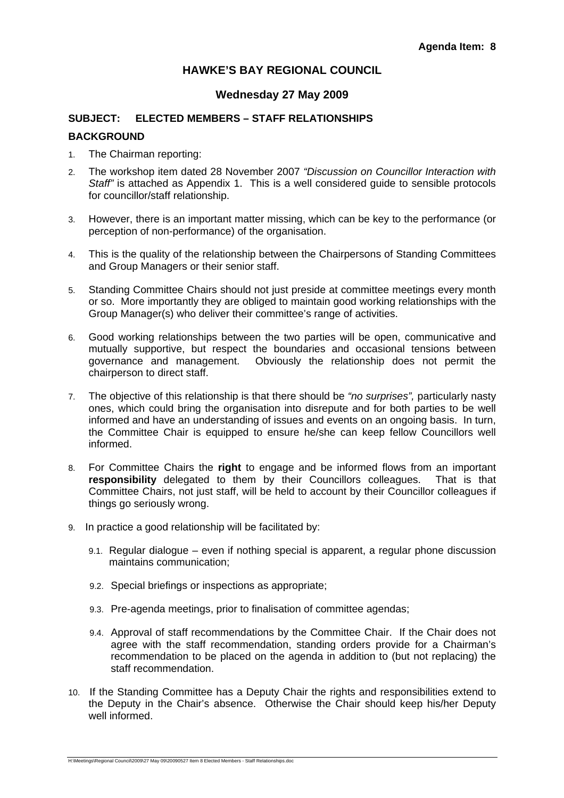# **HAWKE'S BAY REGIONAL COUNCIL**

## **Wednesday 27 May 2009**

# **SUBJECT: ELECTED MEMBERS – STAFF RELATIONSHIPS BACKGROUND**

- 1. The Chairman reporting:
- 2. The workshop item dated 28 November 2007 *"Discussion on Councillor Interaction with Staff"* is attached as Appendix 1. This is a well considered guide to sensible protocols for councillor/staff relationship.
- 3. However, there is an important matter missing, which can be key to the performance (or perception of non-performance) of the organisation.
- 4. This is the quality of the relationship between the Chairpersons of Standing Committees and Group Managers or their senior staff.
- 5. Standing Committee Chairs should not just preside at committee meetings every month or so. More importantly they are obliged to maintain good working relationships with the Group Manager(s) who deliver their committee's range of activities.
- 6. Good working relationships between the two parties will be open, communicative and mutually supportive, but respect the boundaries and occasional tensions between governance and management. Obviously the relationship does not permit the chairperson to direct staff.
- 7. The objective of this relationship is that there should be *"no surprises",* particularly nasty ones, which could bring the organisation into disrepute and for both parties to be well informed and have an understanding of issues and events on an ongoing basis. In turn, the Committee Chair is equipped to ensure he/she can keep fellow Councillors well informed.
- 8. For Committee Chairs the **right** to engage and be informed flows from an important **responsibility** delegated to them by their Councillors colleagues. That is that Committee Chairs, not just staff, will be held to account by their Councillor colleagues if things go seriously wrong.
- 9. In practice a good relationship will be facilitated by:
	- 9.1. Regular dialogue even if nothing special is apparent, a regular phone discussion maintains communication;
	- 9.2. Special briefings or inspections as appropriate;
	- 9.3. Pre-agenda meetings, prior to finalisation of committee agendas;
	- 9.4. Approval of staff recommendations by the Committee Chair. If the Chair does not agree with the staff recommendation, standing orders provide for a Chairman's recommendation to be placed on the agenda in addition to (but not replacing) the staff recommendation.
- 10. If the Standing Committee has a Deputy Chair the rights and responsibilities extend to the Deputy in the Chair's absence. Otherwise the Chair should keep his/her Deputy well informed.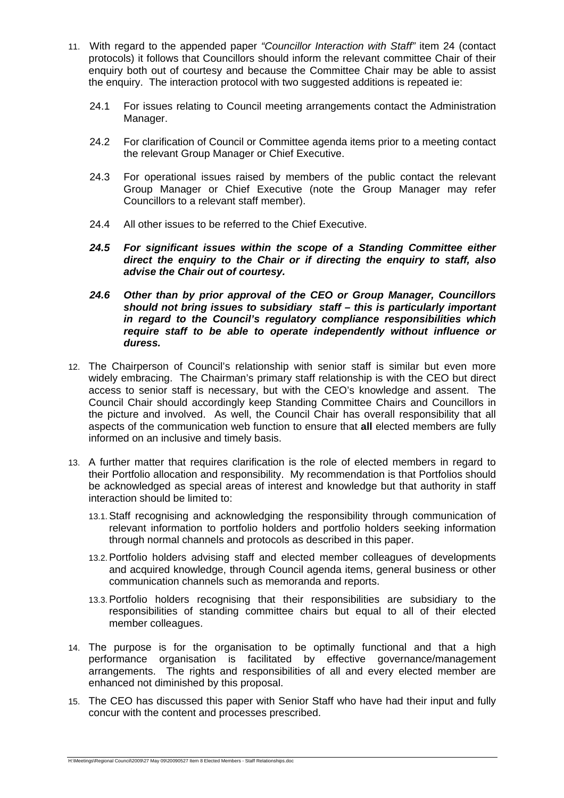- 11. With regard to the appended paper *"Councillor Interaction with Staff"* item 24 (contact protocols) it follows that Councillors should inform the relevant committee Chair of their enquiry both out of courtesy and because the Committee Chair may be able to assist the enquiry. The interaction protocol with two suggested additions is repeated ie:
	- 24.1 For issues relating to Council meeting arrangements contact the Administration Manager.
	- 24.2 For clarification of Council or Committee agenda items prior to a meeting contact the relevant Group Manager or Chief Executive.
	- 24.3 For operational issues raised by members of the public contact the relevant Group Manager or Chief Executive (note the Group Manager may refer Councillors to a relevant staff member).
	- 24.4 All other issues to be referred to the Chief Executive.
	- *24.5 For significant issues within the scope of a Standing Committee either direct the enquiry to the Chair or if directing the enquiry to staff, also advise the Chair out of courtesy.*
	- *24.6 Other than by prior approval of the CEO or Group Manager, Councillors should not bring issues to subsidiary staff – this is particularly important in regard to the Council's regulatory compliance responsibilities which require staff to be able to operate independently without influence or duress.*
- 12. The Chairperson of Council's relationship with senior staff is similar but even more widely embracing. The Chairman's primary staff relationship is with the CEO but direct access to senior staff is necessary, but with the CEO's knowledge and assent. The Council Chair should accordingly keep Standing Committee Chairs and Councillors in the picture and involved. As well, the Council Chair has overall responsibility that all aspects of the communication web function to ensure that **all** elected members are fully informed on an inclusive and timely basis.
- 13. A further matter that requires clarification is the role of elected members in regard to their Portfolio allocation and responsibility. My recommendation is that Portfolios should be acknowledged as special areas of interest and knowledge but that authority in staff interaction should be limited to:
	- 13.1.Staff recognising and acknowledging the responsibility through communication of relevant information to portfolio holders and portfolio holders seeking information through normal channels and protocols as described in this paper.
	- 13.2.Portfolio holders advising staff and elected member colleagues of developments and acquired knowledge, through Council agenda items, general business or other communication channels such as memoranda and reports.
	- 13.3.Portfolio holders recognising that their responsibilities are subsidiary to the responsibilities of standing committee chairs but equal to all of their elected member colleagues.
- 14. The purpose is for the organisation to be optimally functional and that a high performance organisation is facilitated by effective governance/management arrangements. The rights and responsibilities of all and every elected member are enhanced not diminished by this proposal.
- 15. The CEO has discussed this paper with Senior Staff who have had their input and fully concur with the content and processes prescribed.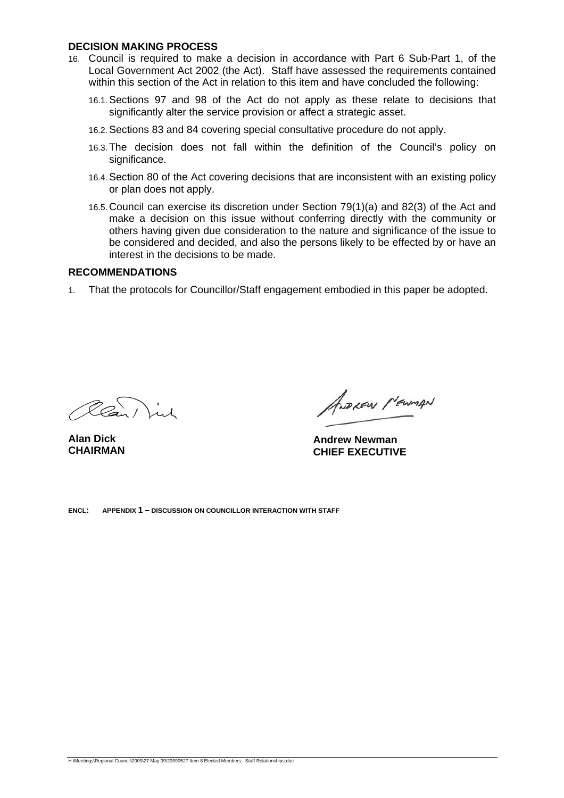#### **DECISION MAKING PROCESS**

- 16. Council is required to make a decision in accordance with Part 6 Sub-Part 1, of the Local Government Act 2002 (the Act). Staff have assessed the requirements contained within this section of the Act in relation to this item and have concluded the following:
	- 16.1.Sections 97 and 98 of the Act do not apply as these relate to decisions that significantly alter the service provision or affect a strategic asset.
	- 16.2.Sections 83 and 84 covering special consultative procedure do not apply.
	- 16.3.The decision does not fall within the definition of the Council's policy on significance.
	- 16.4.Section 80 of the Act covering decisions that are inconsistent with an existing policy or plan does not apply.
	- 16.5. Council can exercise its discretion under Section 79(1)(a) and 82(3) of the Act and make a decision on this issue without conferring directly with the community or others having given due consideration to the nature and significance of the issue to be considered and decided, and also the persons likely to be effected by or have an interest in the decisions to be made.

#### **RECOMMENDATIONS**

1. That the protocols for Councillor/Staff engagement embodied in this paper be adopted.

Clan ) in

**Alan Dick CHAIRMAN** 

ANDLEW MEWIAN

**Andrew Newman CHIEF EXECUTIVE** 

**ENCL: APPENDIX 1 – DISCUSSION ON COUNCILLOR INTERACTION WITH STAFF**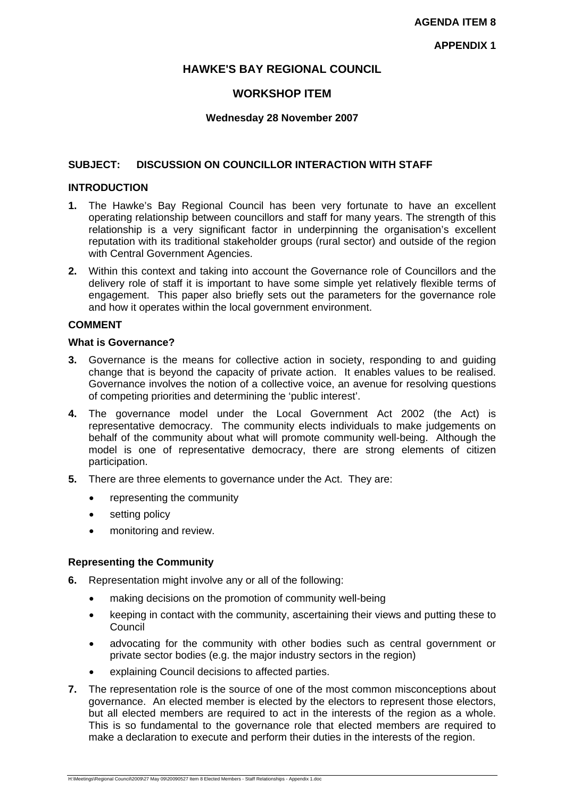## **HAWKE'S BAY REGIONAL COUNCIL**

## **WORKSHOP ITEM**

## **Wednesday 28 November 2007**

## **SUBJECT: DISCUSSION ON COUNCILLOR INTERACTION WITH STAFF**

### **INTRODUCTION**

- **1.** The Hawke's Bay Regional Council has been very fortunate to have an excellent operating relationship between councillors and staff for many years. The strength of this relationship is a very significant factor in underpinning the organisation's excellent reputation with its traditional stakeholder groups (rural sector) and outside of the region with Central Government Agencies.
- **2.** Within this context and taking into account the Governance role of Councillors and the delivery role of staff it is important to have some simple yet relatively flexible terms of engagement. This paper also briefly sets out the parameters for the governance role and how it operates within the local government environment.

## **COMMENT**

#### **What is Governance?**

- **3.** Governance is the means for collective action in society, responding to and guiding change that is beyond the capacity of private action. It enables values to be realised. Governance involves the notion of a collective voice, an avenue for resolving questions of competing priorities and determining the 'public interest'.
- **4.** The governance model under the Local Government Act 2002 (the Act) is representative democracy. The community elects individuals to make judgements on behalf of the community about what will promote community well-being. Although the model is one of representative democracy, there are strong elements of citizen participation.
- **5.** There are three elements to governance under the Act. They are:
	- representing the community
	- setting policy
	- monitoring and review.

### **Representing the Community**

- **6.** Representation might involve any or all of the following:
	- making decisions on the promotion of community well-being
	- keeping in contact with the community, ascertaining their views and putting these to **Council**
	- advocating for the community with other bodies such as central government or private sector bodies (e.g. the major industry sectors in the region)
	- explaining Council decisions to affected parties.
- **7.** The representation role is the source of one of the most common misconceptions about governance. An elected member is elected by the electors to represent those electors, but all elected members are required to act in the interests of the region as a whole. This is so fundamental to the governance role that elected members are required to make a declaration to execute and perform their duties in the interests of the region.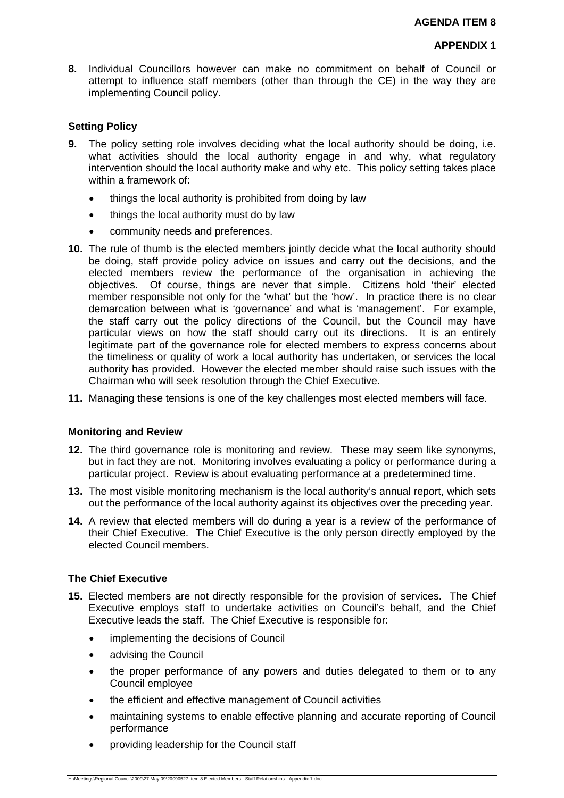**8.** Individual Councillors however can make no commitment on behalf of Council or attempt to influence staff members (other than through the CE) in the way they are implementing Council policy.

## **Setting Policy**

- **9.** The policy setting role involves deciding what the local authority should be doing, i.e. what activities should the local authority engage in and why, what regulatory intervention should the local authority make and why etc. This policy setting takes place within a framework of:
	- things the local authority is prohibited from doing by law
	- things the local authority must do by law
	- community needs and preferences.
- **10.** The rule of thumb is the elected members jointly decide what the local authority should be doing, staff provide policy advice on issues and carry out the decisions, and the elected members review the performance of the organisation in achieving the objectives. Of course, things are never that simple. Citizens hold 'their' elected member responsible not only for the 'what' but the 'how'. In practice there is no clear demarcation between what is 'governance' and what is 'management'. For example, the staff carry out the policy directions of the Council, but the Council may have particular views on how the staff should carry out its directions. It is an entirely legitimate part of the governance role for elected members to express concerns about the timeliness or quality of work a local authority has undertaken, or services the local authority has provided. However the elected member should raise such issues with the Chairman who will seek resolution through the Chief Executive.
- **11.** Managing these tensions is one of the key challenges most elected members will face.

### **Monitoring and Review**

- **12.** The third governance role is monitoring and review. These may seem like synonyms, but in fact they are not. Monitoring involves evaluating a policy or performance during a particular project. Review is about evaluating performance at a predetermined time.
- **13.** The most visible monitoring mechanism is the local authority's annual report, which sets out the performance of the local authority against its objectives over the preceding year.
- **14.** A review that elected members will do during a year is a review of the performance of their Chief Executive. The Chief Executive is the only person directly employed by the elected Council members.

### **The Chief Executive**

- **15.** Elected members are not directly responsible for the provision of services. The Chief Executive employs staff to undertake activities on Council's behalf, and the Chief Executive leads the staff. The Chief Executive is responsible for:
	- implementing the decisions of Council
	- advising the Council
	- the proper performance of any powers and duties delegated to them or to any Council employee
	- the efficient and effective management of Council activities
	- maintaining systems to enable effective planning and accurate reporting of Council performance
	- providing leadership for the Council staff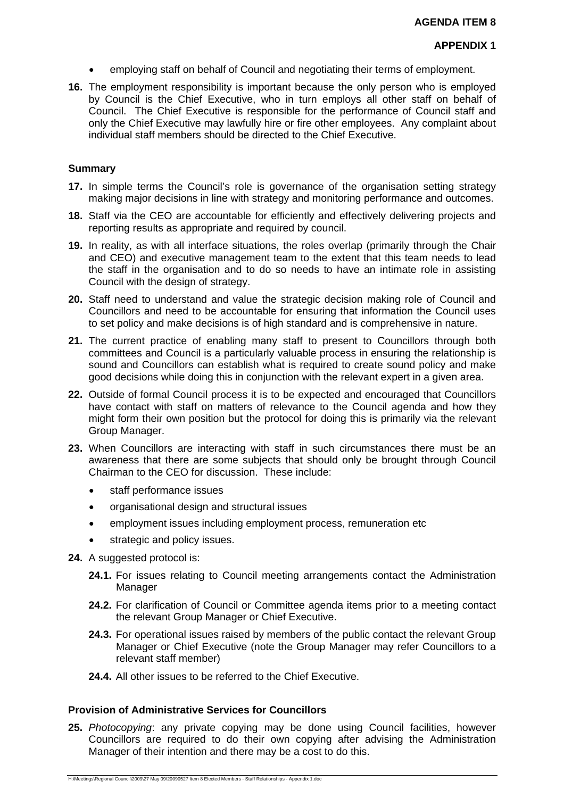- employing staff on behalf of Council and negotiating their terms of employment.
- **16.** The employment responsibility is important because the only person who is employed by Council is the Chief Executive, who in turn employs all other staff on behalf of Council. The Chief Executive is responsible for the performance of Council staff and only the Chief Executive may lawfully hire or fire other employees. Any complaint about individual staff members should be directed to the Chief Executive.

### **Summary**

- **17.** In simple terms the Council's role is governance of the organisation setting strategy making major decisions in line with strategy and monitoring performance and outcomes.
- **18.** Staff via the CEO are accountable for efficiently and effectively delivering projects and reporting results as appropriate and required by council.
- **19.** In reality, as with all interface situations, the roles overlap (primarily through the Chair and CEO) and executive management team to the extent that this team needs to lead the staff in the organisation and to do so needs to have an intimate role in assisting Council with the design of strategy.
- **20.** Staff need to understand and value the strategic decision making role of Council and Councillors and need to be accountable for ensuring that information the Council uses to set policy and make decisions is of high standard and is comprehensive in nature.
- **21.** The current practice of enabling many staff to present to Councillors through both committees and Council is a particularly valuable process in ensuring the relationship is sound and Councillors can establish what is required to create sound policy and make good decisions while doing this in conjunction with the relevant expert in a given area.
- **22.** Outside of formal Council process it is to be expected and encouraged that Councillors have contact with staff on matters of relevance to the Council agenda and how they might form their own position but the protocol for doing this is primarily via the relevant Group Manager.
- **23.** When Councillors are interacting with staff in such circumstances there must be an awareness that there are some subjects that should only be brought through Council Chairman to the CEO for discussion. These include:
	- staff performance issues
	- organisational design and structural issues
	- employment issues including employment process, remuneration etc
	- strategic and policy issues.
- **24.** A suggested protocol is:
	- **24.1.** For issues relating to Council meeting arrangements contact the Administration Manager
	- **24.2.** For clarification of Council or Committee agenda items prior to a meeting contact the relevant Group Manager or Chief Executive.
	- **24.3.** For operational issues raised by members of the public contact the relevant Group Manager or Chief Executive (note the Group Manager may refer Councillors to a relevant staff member)
	- **24.4.** All other issues to be referred to the Chief Executive.

## **Provision of Administrative Services for Councillors**

**25.** *Photocopying*: any private copying may be done using Council facilities, however Councillors are required to do their own copying after advising the Administration Manager of their intention and there may be a cost to do this.